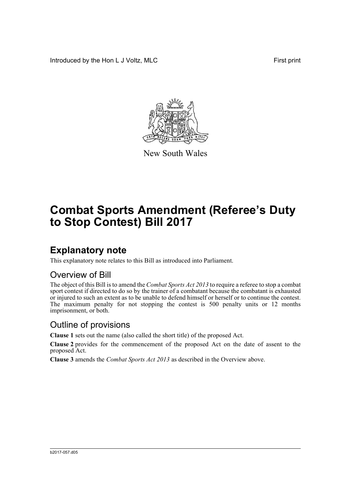Introduced by the Hon L J Voltz, MLC **First print** 



New South Wales

# **Combat Sports Amendment (Referee's Duty to Stop Contest) Bill 2017**

## **Explanatory note**

This explanatory note relates to this Bill as introduced into Parliament.

#### Overview of Bill

The object of this Bill is to amend the *Combat Sports Act 2013* to require a referee to stop a combat sport contest if directed to do so by the trainer of a combatant because the combatant is exhausted or injured to such an extent as to be unable to defend himself or herself or to continue the contest. The maximum penalty for not stopping the contest is 500 penalty units or 12 months imprisonment, or both.

#### Outline of provisions

**Clause 1** sets out the name (also called the short title) of the proposed Act.

**Clause 2** provides for the commencement of the proposed Act on the date of assent to the proposed Act.

**Clause 3** amends the *Combat Sports Act 2013* as described in the Overview above.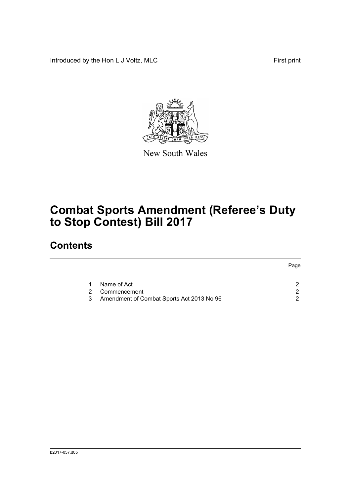Introduced by the Hon L J Voltz, MLC First print



New South Wales

# **Combat Sports Amendment (Referee's Duty to Stop Contest) Bill 2017**

## **Contents**

|    |                                           | Page |
|----|-------------------------------------------|------|
|    | Name of Act                               | ◠    |
| 2. | Commencement                              | ◠    |
| 3  | Amendment of Combat Sports Act 2013 No 96 |      |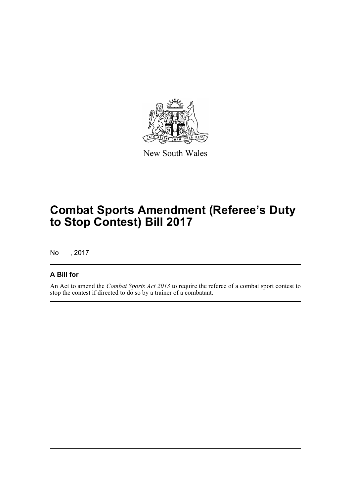

New South Wales

## **Combat Sports Amendment (Referee's Duty to Stop Contest) Bill 2017**

No , 2017

#### **A Bill for**

An Act to amend the *Combat Sports Act 2013* to require the referee of a combat sport contest to stop the contest if directed to do so by a trainer of a combatant.